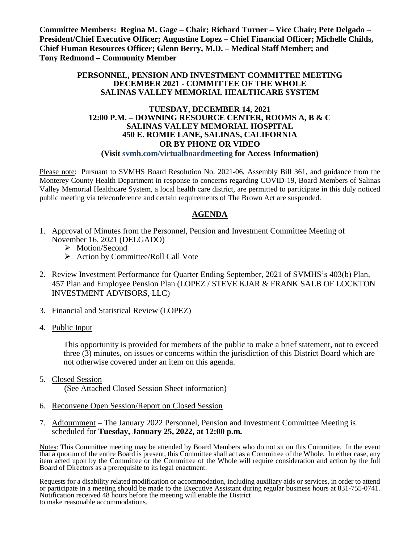**Committee Members: Regina M. Gage – Chair; Richard Turner – Vice Chair; Pete Delgado – President/Chief Executive Officer; Augustine Lopez – Chief Financial Officer; Michelle Childs, Chief Human Resources Officer; Glenn Berry, M.D. – Medical Staff Member; and Tony Redmond – Community Member**

#### **PERSONNEL, PENSION AND INVESTMENT COMMITTEE MEETING DECEMBER 2021 - COMMITTEE OF THE WHOLE SALINAS VALLEY MEMORIAL HEALTHCARE SYSTEM**

## **TUESDAY, DECEMBER 14, 2021 12:00 P.M. – DOWNING RESOURCE CENTER, ROOMS A, B & C SALINAS VALLEY MEMORIAL HOSPITAL 450 E. ROMIE LANE, SALINAS, CALIFORNIA OR BY PHONE OR VIDEO**

#### **(Visit svmh.com/virtualboardmeeting for Access Information)**

Please note: Pursuant to SVMHS Board Resolution No. 2021-06, Assembly Bill 361, and guidance from the Monterey County Health Department in response to concerns regarding COVID-19, Board Members of Salinas Valley Memorial Healthcare System, a local health care district, are permitted to participate in this duly noticed public meeting via teleconference and certain requirements of The Brown Act are suspended.

## **AGENDA**

- 1. Approval of Minutes from the Personnel, Pension and Investment Committee Meeting of November 16, 2021 (DELGADO)
	- > Motion/Second
	- $\triangleright$  Action by Committee/Roll Call Vote
- 2. Review Investment Performance for Quarter Ending September, 2021 of SVMHS's 403(b) Plan, 457 Plan and Employee Pension Plan (LOPEZ / STEVE KJAR & FRANK SALB OF LOCKTON INVESTMENT ADVISORS, LLC)
- 3. Financial and Statistical Review (LOPEZ)
- 4. Public Input

This opportunity is provided for members of the public to make a brief statement, not to exceed three (3) minutes, on issues or concerns within the jurisdiction of this District Board which are not otherwise covered under an item on this agenda.

- 5. Closed Session (See Attached Closed Session Sheet information)
- 6. Reconvene Open Session/Report on Closed Session
- 7. Adjournment The January 2022 Personnel, Pension and Investment Committee Meeting is scheduled for **Tuesday, January 25, 2022, at 12:00 p.m.**

Notes: This Committee meeting may be attended by Board Members who do not sit on this Committee. In the event that a quorum of the entire Board is present, this Committee shall act as a Committee of the Whole. In either case, any item acted upon by the Committee or the Committee of the Whole will require consideration and action by the full Board of Directors as a prerequisite to its legal enactment.

Requests for a disability related modification or accommodation, including auxiliary aids or services, in order to attend or participate in a meeting should be made to the Executive Assistant during regular business hours at 831-755-0741. Notification received 48 hours before the meeting will enable the District to make reasonable accommodations.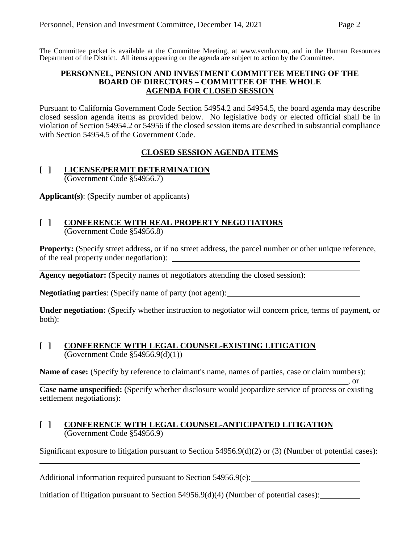The Committee packet is available at the Committee Meeting, at [www.svmh.com,](http://www.svmh.com/) and in the Human Resources Department of the District. All items appearing on the agenda are subject to action by the Committee.

#### **PERSONNEL, PENSION AND INVESTMENT COMMITTEE MEETING OF THE BOARD OF DIRECTORS – COMMITTEE OF THE WHOLE AGENDA FOR CLOSED SESSION**

Pursuant to California Government Code Section 54954.2 and 54954.5, the board agenda may describe closed session agenda items as provided below. No legislative body or elected official shall be in violation of Section 54954.2 or 54956 if the closed session items are described in substantial compliance with Section 54954.5 of the Government Code.

# **CLOSED SESSION AGENDA ITEMS**

#### **[ ] LICENSE/PERMIT DETERMINATION** (Government Code §54956.7)

**Applicant(s)**: (Specify number of applicants)

#### **[ ] CONFERENCE WITH REAL PROPERTY NEGOTIATORS** (Government Code §54956.8)

**Property:** (Specify street address, or if no street address, the parcel number or other unique reference, of the real property under negotiation):

**Agency negotiator:** (Specify names of negotiators attending the closed session):

**Negotiating parties**: (Specify name of party (not agent):

**Under negotiation:** (Specify whether instruction to negotiator will concern price, terms of payment, or both):

#### **[ ] CONFERENCE WITH LEGAL COUNSEL-EXISTING LITIGATION** (Government Code §54956.9(d)(1))

**Name of case:** (Specify by reference to claimant's name, names of parties, case or claim numbers):

 $\frac{1}{\sqrt{2}}$ , or **Case name unspecified:** (Specify whether disclosure would jeopardize service of process or existing settlement negotiations):

## **[ ] CONFERENCE WITH LEGAL COUNSEL-ANTICIPATED LITIGATION** (Government Code §54956.9)

Significant exposure to litigation pursuant to Section 54956.9(d)(2) or (3) (Number of potential cases):

Additional information required pursuant to Section 54956.9(e):

Initiation of litigation pursuant to Section 54956.9(d)(4) (Number of potential cases):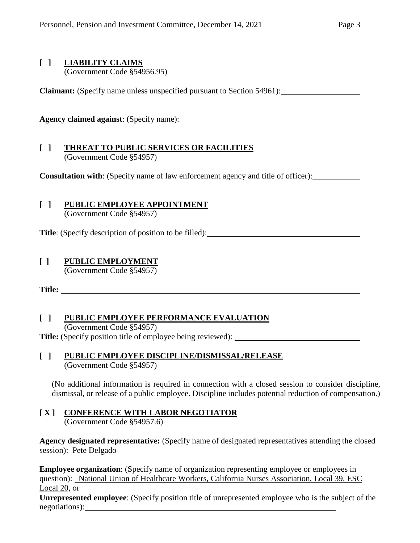# **[ ] LIABILITY CLAIMS**

(Government Code §54956.95)

**Claimant:** (Specify name unless unspecified pursuant to Section 54961):

**Agency claimed against**: (Specify name):

#### **[ ] THREAT TO PUBLIC SERVICES OR FACILITIES** (Government Code §54957)

**Consultation with**: (Specify name of law enforcement agency and title of officer):

# **[ ] PUBLIC EMPLOYEE APPOINTMENT**

(Government Code §54957)

**Title**: (Specify description of position to be filled):

## **[ ] PUBLIC EMPLOYMENT**

(Government Code §54957)

**Title:** 

## **[ ] PUBLIC EMPLOYEE PERFORMANCE EVALUATION**

(Government Code §54957) **Title:** (Specify position title of employee being reviewed):

## **[ ] PUBLIC EMPLOYEE DISCIPLINE/DISMISSAL/RELEASE** (Government Code §54957)

(No additional information is required in connection with a closed session to consider discipline, dismissal, or release of a public employee. Discipline includes potential reduction of compensation.)

#### **[ X ] CONFERENCE WITH LABOR NEGOTIATOR** (Government Code §54957.6)

**Agency designated representative:** (Specify name of designated representatives attending the closed session): Pete Delgado

**Employee organization**: (Specify name of organization representing employee or employees in question): National Union of Healthcare Workers, California Nurses Association, Local 39, ESC Local 20, or

**Unrepresented employee**: (Specify position title of unrepresented employee who is the subject of the negotiations):